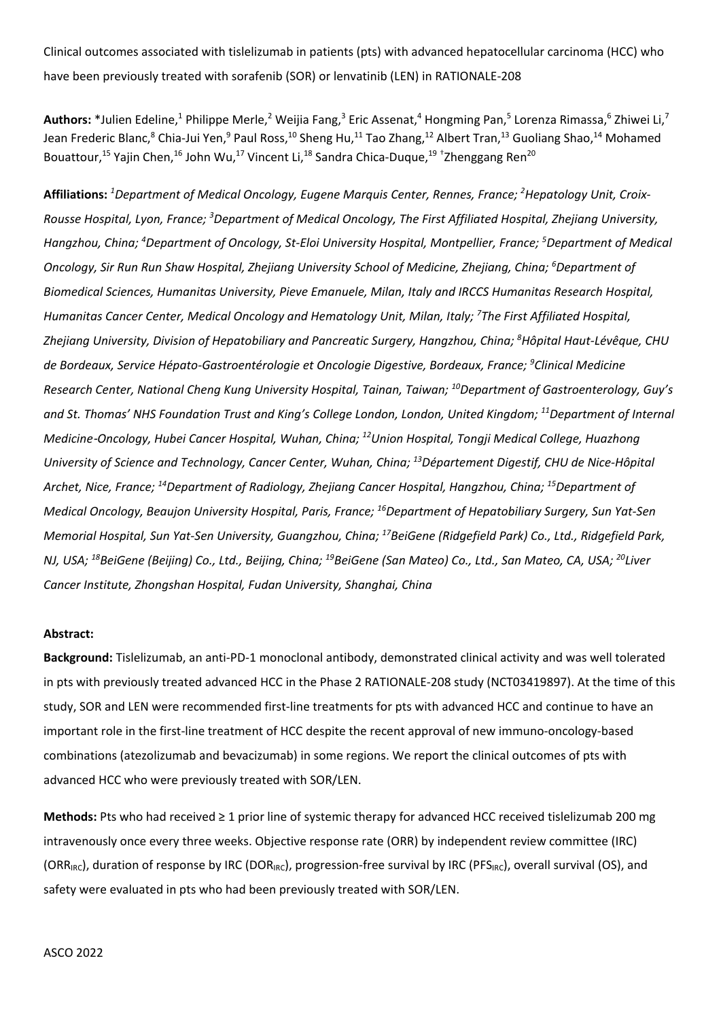Clinical outcomes associated with tislelizumab in patients (pts) with advanced hepatocellular carcinoma (HCC) who have been previously treated with sorafenib (SOR) or lenvatinib (LEN) in RATIONALE-208

Authors: \*Julien Edeline,<sup>1</sup> Philippe Merle,<sup>2</sup> Weijia Fang,<sup>3</sup> Eric Assenat,<sup>4</sup> Hongming Pan,<sup>5</sup> Lorenza Rimassa,<sup>6</sup> Zhiwei Li,<sup>7</sup> Jean Frederic Blanc,<sup>8</sup> Chia-Jui Yen,<sup>9</sup> Paul Ross,<sup>10</sup> Sheng Hu,<sup>11</sup> Tao Zhang,<sup>12</sup> Albert Tran,<sup>13</sup> Guoliang Shao,<sup>14</sup> Mohamed Bouattour,<sup>15</sup> Yajin Chen,<sup>16</sup> John Wu,<sup>17</sup> Vincent Li,<sup>18</sup> Sandra Chica-Duque,<sup>19 +</sup>Zhenggang Ren<sup>20</sup>

**Affiliations:** *<sup>1</sup> Department of Medical Oncology, Eugene Marquis Center, Rennes, France; 2 Hepatology Unit, Croix-Rousse Hospital, Lyon, France; 3 Department of Medical Oncology, The First Affiliated Hospital, Zhejiang University, Hangzhou, China; 4 Department of Oncology, St-Eloi University Hospital, Montpellier, France; 5 Department of Medical Oncology, Sir Run Run Shaw Hospital, Zhejiang University School of Medicine, Zhejiang, China; 6 Department of Biomedical Sciences, Humanitas University, Pieve Emanuele, Milan, Italy and IRCCS Humanitas Research Hospital, Humanitas Cancer Center, Medical Oncology and Hematology Unit, Milan, Italy; 7 The First Affiliated Hospital, Zhejiang University, Division of Hepatobiliary and Pancreatic Surgery, Hangzhou, China; 8 Hôpital Haut-Lévêque, CHU de Bordeaux, Service Hépato-Gastroentérologie et Oncologie Digestive, Bordeaux, France; 9 Clinical Medicine Research Center, National Cheng Kung University Hospital, Tainan, Taiwan; 10Department of Gastroenterology, Guy's and St. Thomas' NHS Foundation Trust and King's College London, London, United Kingdom; 11Department of Internal Medicine*‑*Oncology, Hubei Cancer Hospital, Wuhan, China; 12Union Hospital, Tongji Medical College, Huazhong University of Science and Technology, Cancer Center, Wuhan, China; 13Département Digestif, CHU de Nice-Hôpital Archet, Nice, France; 14Department of Radiology, Zhejiang Cancer Hospital, Hangzhou, China; 15Department of Medical Oncology, Beaujon University Hospital, Paris, France; 16Department of Hepatobiliary Surgery, Sun Yat-Sen Memorial Hospital, Sun Yat-Sen University, Guangzhou, China; 17BeiGene (Ridgefield Park) Co., Ltd., Ridgefield Park, NJ, USA; 18BeiGene (Beijing) Co., Ltd., Beijing, China; 19BeiGene (San Mateo) Co., Ltd., San Mateo, CA, USA; 20Liver Cancer Institute, Zhongshan Hospital, Fudan University, Shanghai, China*

## **Abstract:**

**Background:** Tislelizumab, an anti-PD-1 monoclonal antibody, demonstrated clinical activity and was well tolerated in pts with previously treated advanced HCC in the Phase 2 RATIONALE-208 study (NCT03419897). At the time of this study, SOR and LEN were recommended first-line treatments for pts with advanced HCC and continue to have an important role in the first-line treatment of HCC despite the recent approval of new immuno-oncology-based combinations (atezolizumab and bevacizumab) in some regions. We report the clinical outcomes of pts with advanced HCC who were previously treated with SOR/LEN.

**Methods:** Pts who had received ≥ 1 prior line of systemic therapy for advanced HCC received tislelizumab 200 mg intravenously once every three weeks. Objective response rate (ORR) by independent review committee (IRC) (ORR<sub>IRC</sub>), duration of response by IRC (DOR<sub>IRC</sub>), progression-free survival by IRC (PFS<sub>IRC</sub>), overall survival (OS), and safety were evaluated in pts who had been previously treated with SOR/LEN.